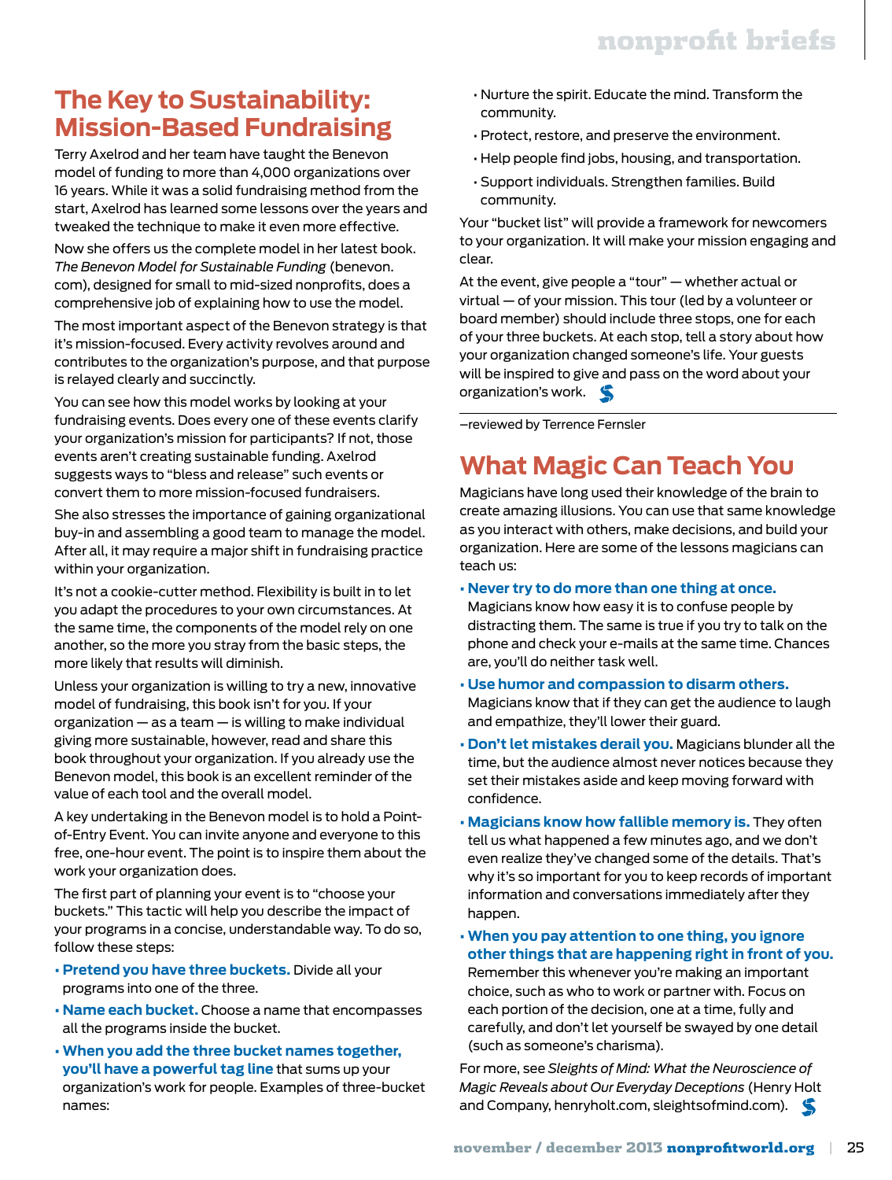## **The Key to Sustainability: Mission-Based Fundraising**

Terry Axelrod and her team have taught the Benevon model of funding to more than 4,000 organizations over 16 years. While it was a solid fundraising method from the start, Axelrod has learned some lessons over the years and tweaked the technique to make it even more effective.

Now she offers us the complete model in her latest book. *The Benevon Model for Sustainable Funding* (benevon. com), designed for small to mid-sized nonprofits, does a comprehensive job of explaining how to use the model.

The most important aspect of the Benevon strategy is that it's mission-focused. Every activity revolves around and contributes to the organization's purpose, and that purpose is relayed clearly and succinctly.

You can see how this model works by looking at your fundraising events. Does every one of these events clarify your organization's mission for participants? If not, those events aren't creating sustainable funding. Axelrod suggests ways to "bless and release" such events or convert them to more mission-focused fundraisers.

She also stresses the importance of gaining organizational buy-in and assembling a good team to manage the model. After all, it may require a major shift in fundraising practice within your organization.

It's not a cookie-cutter method. Flexibility is built in to let you adapt the procedures to your own circumstances. At the same time, the components of the model rely on one another, so the more you stray from the basic steps, the more likely that results will diminish.

Unless your organization is willing to try a new, innovative model of fundraising, this book isn't for you. If your organization — as a team — is willing to make individual giving more sustainable, however, read and share this book throughout your organization. If you already use the Benevon model, this book is an excellent reminder of the value of each tool and the overall model.

A key undertaking in the Benevon model is to hold a Pointof-Entry Event. You can invite anyone and everyone to this free, one-hour event. The point is to inspire them about the work your organization does.

The first part of planning your event is to "choose your buckets." This tactic will help you describe the impact of your programs in a concise, understandable way. To do so, follow these steps:

- **Pretend you have three buckets.** Divide all your programs into one of the three.
- **Name each bucket.** Choose a name that encompasses all the programs inside the bucket.
- **When you add the three bucket names together, you'll have a powerful tag line** that sums up your organization's work for people. Examples of three-bucket names:
- Nurture the spirit. Educate the mind. Transform the community.
- Protect, restore, and preserve the environment.
- Help people find jobs, housing, and transportation.
- Support individuals. Strengthen families. Build community.

Your "bucket list" will provide a framework for newcomers to your organization. It will make your mission engaging and clear.

At the event, give people a "tour" — whether actual or virtual — of your mission. This tour (led by a volunteer or board member) should include three stops, one for each of your three buckets. At each stop, tell a story about how your organization changed someone's life. Your guests will be inspired to give and pass on the word about your organization's work.

–reviewed by Terrence Fernsler

# **What Magic Can Teach You**

Magicians have long used their knowledge of the brain to create amazing illusions. You can use that same knowledge as you interact with others, make decisions, and build your organization. Here are some of the lessons magicians can teach us:

**• Never try to do more than one thing at once.**

Magicians know how easy it is to confuse people by distracting them. The same is true if you try to talk on the phone and check your e-mails at the same time. Chances are, you'll do neither task well.

- **Use humor and compassion to disarm others.** Magicians know that if they can get the audience to laugh and empathize, they'll lower their guard.
- **Don't let mistakes derail you.** Magicians blunder all the time, but the audience almost never notices because they set their mistakes aside and keep moving forward with confidence.
- **Magicians know how fallible memory is.** They often tell us what happened a few minutes ago, and we don't even realize they've changed some of the details. That's why it's so important for you to keep records of important information and conversations immediately after they happen.
- **When you pay attention to one thing, you ignore other things that are happening right in front of you.** Remember this whenever you're making an important choice, such as who to work or partner with. Focus on each portion of the decision, one at a time, fully and carefully, and don't let yourself be swayed by one detail (such as someone's charisma).

For more, see *Sleights of Mind: What the Neuroscience of Magic Reveals about Our Everyday Deceptions* (Henry Holt and Company, henryholt.com, sleightsofmind.com).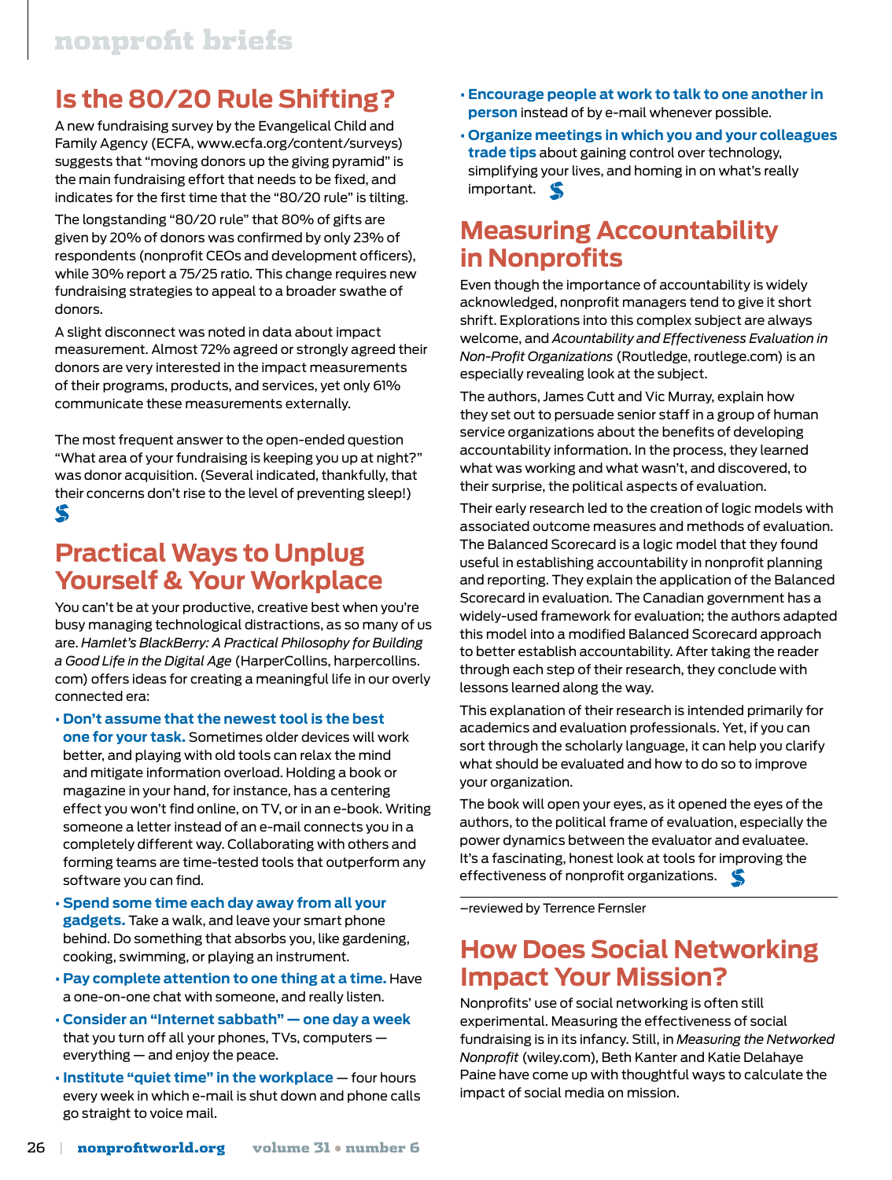## **Is the 80/20 Rule Shifting?**

A new fundraising survey by the Evangelical Child and Family Agency (ECFA, www.ecfa.org/content/surveys) suggests that "moving donors up the giving pyramid" is the main fundraising effort that needs to be fixed, and indicates for the first time that the "80/20 rule" is tilting.

The longstanding "80/20 rule" that 80% of gifts are given by 20% of donors was confirmed by only 23% of respondents (nonprofit CEOs and development officers), while 30% report a 75/25 ratio. This change requires new fundraising strategies to appeal to a broader swathe of donors.

A slight disconnect was noted in data about impact measurement. Almost 72% agreed or strongly agreed their donors are very interested in the impact measurements of their programs, products, and services, yet only 61% communicate these measurements externally.

The most frequent answer to the open-ended question "What area of your fundraising is keeping you up at night?" was donor acquisition. (Several indicated, thankfully, that their concerns don't rise to the level of preventing sleep!) S

### **Practical Ways to Unplug Yourself & Your Workplace**

You can't be at your productive, creative best when you're busy managing technological distractions, as so many of us are. *Hamlet's BlackBerry: A Practical Philosophy for Building a Good Life in the Digital Age* (HarperCollins, harpercollins. com) offers ideas for creating a meaningful life in our overly connected era:

- **Don't assume that the newest tool is the best one for your task.** Sometimes older devices will work better, and playing with old tools can relax the mind and mitigate information overload. Holding a book or magazine in your hand, for instance, has a centering effect you won't find online, on TV, or in an e-book. Writing someone a letter instead of an e-mail connects you in a completely different way. Collaborating with others and forming teams are time-tested tools that outperform any software you can find.
- **Spend some time each day away from all your gadgets.** Take a walk, and leave your smart phone behind. Do something that absorbs you, like gardening, cooking, swimming, or playing an instrument.
- **Pay complete attention to one thing at a time.** Have a one-on-one chat with someone, and really listen.
- **Consider an "Internet sabbath" one day a week** that you turn off all your phones, TVs, computers everything — and enjoy the peace.
- **Institute "quiet time" in the workplace** four hours every week in which e-mail is shut down and phone calls go straight to voice mail.
- **Encourage people at work to talk to one another in person** instead of by e-mail whenever possible.
- **Organize meetings in which you and your colleagues trade tips** about gaining control over technology, simplifying your lives, and homing in on what's really important.

### **Measuring Accountability in Nonprofits**

Even though the importance of accountability is widely acknowledged, nonprofit managers tend to give it short shrift. Explorations into this complex subject are always welcome, and *Acountability and Effectiveness Evaluation in Non-Profit Organizations* (Routledge, routlege.com) is an especially revealing look at the subject.

The authors, James Cutt and Vic Murray, explain how they set out to persuade senior staff in a group of human service organizations about the benefits of developing accountability information. In the process, they learned what was working and what wasn't, and discovered, to their surprise, the political aspects of evaluation.

Their early research led to the creation of logic models with associated outcome measures and methods of evaluation. The Balanced Scorecard is a logic model that they found useful in establishing accountability in nonprofit planning and reporting. They explain the application of the Balanced Scorecard in evaluation. The Canadian government has a widely-used framework for evaluation; the authors adapted this model into a modified Balanced Scorecard approach to better establish accountability. After taking the reader through each step of their research, they conclude with lessons learned along the way.

This explanation of their research is intended primarily for academics and evaluation professionals. Yet, if you can sort through the scholarly language, it can help you clarify what should be evaluated and how to do so to improve your organization.

The book will open your eyes, as it opened the eyes of the authors, to the political frame of evaluation, especially the power dynamics between the evaluator and evaluatee. It's a fascinating, honest look at tools for improving the effectiveness of nonprofit organizations.

–reviewed by Terrence Fernsler

### **How Does Social Networking Impact Your Mission?**

Nonprofits' use of social networking is often still experimental. Measuring the effectiveness of social fundraising is in its infancy. Still, in *Measuring the Networked Nonprofit* (wiley.com), Beth Kanter and Katie Delahaye Paine have come up with thoughtful ways to calculate the impact of social media on mission.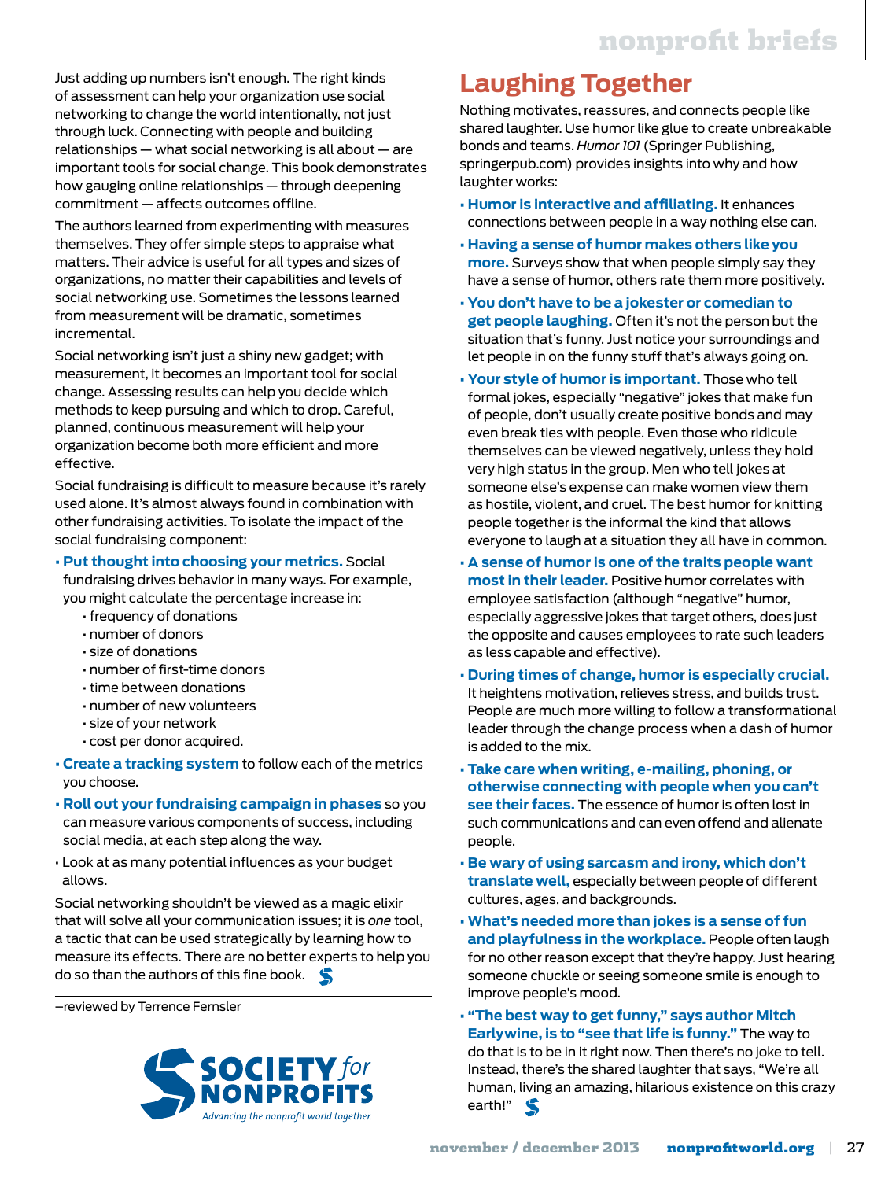Just adding up numbers isn't enough. The right kinds of assessment can help your organization use social networking to change the world intentionally, not just through luck. Connecting with people and building relationships — what social networking is all about — are important tools for social change. This book demonstrates how gauging online relationships — through deepening commitment — affects outcomes offline.

The authors learned from experimenting with measures themselves. They offer simple steps to appraise what matters. Their advice is useful for all types and sizes of organizations, no matter their capabilities and levels of social networking use. Sometimes the lessons learned from measurement will be dramatic, sometimes incremental.

Social networking isn't just a shiny new gadget; with measurement, it becomes an important tool for social change. Assessing results can help you decide which methods to keep pursuing and which to drop. Careful, planned, continuous measurement will help your organization become both more efficient and more effective.

Social fundraising is difficult to measure because it's rarely used alone. It's almost always found in combination with other fundraising activities. To isolate the impact of the social fundraising component:

#### **• Put thought into choosing your metrics.** Social

fundraising drives behavior in many ways. For example, you might calculate the percentage increase in:

- frequency of donations
- number of donors
- size of donations
- number of first-time donors
- time between donations
- number of new volunteers
- size of your network
- cost per donor acquired.
- **Create a tracking system** to follow each of the metrics you choose.
- **Roll out your fundraising campaign in phases** so you can measure various components of success, including social media, at each step along the way.
- Look at as many potential influences as your budget allows.

Social networking shouldn't be viewed as a magic elixir that will solve all your communication issues; it is *one* tool, a tactic that can be used strategically by learning how to measure its effects. There are no better experts to help you do so than the authors of this fine book.

–reviewed by Terrence Fernsler



## **Laughing Together**

Nothing motivates, reassures, and connects people like shared laughter. Use humor like glue to create unbreakable bonds and teams. *Humor 101* (Springer Publishing, springerpub.com) provides insights into why and how laughter works:

- **Humor is interactive and affiliating.** It enhances connections between people in a way nothing else can.
- **Having a sense of humor makes others like you more.** Surveys show that when people simply say they have a sense of humor, others rate them more positively.
- **You don't have to be a jokester or comedian to get people laughing.** Often it's not the person but the situation that's funny. Just notice your surroundings and let people in on the funny stuff that's always going on.
- **Your style of humor is important.** Those who tell formal jokes, especially "negative" jokes that make fun of people, don't usually create positive bonds and may even break ties with people. Even those who ridicule themselves can be viewed negatively, unless they hold very high status in the group. Men who tell jokes at someone else's expense can make women view them as hostile, violent, and cruel. The best humor for knitting people together is the informal the kind that allows everyone to laugh at a situation they all have in common.
- **A sense of humor is one of the traits people want most in their leader.** Positive humor correlates with employee satisfaction (although "negative" humor, especially aggressive jokes that target others, does just the opposite and causes employees to rate such leaders as less capable and effective).
- **During times of change, humor is especially crucial.** It heightens motivation, relieves stress, and builds trust. People are much more willing to follow a transformational leader through the change process when a dash of humor is added to the mix.
- **Take care when writing, e-mailing, phoning, or otherwise connecting with people when you can't see their faces.** The essence of humor is often lost in such communications and can even offend and alienate people.
- **Be wary of using sarcasm and irony, which don't translate well,** especially between people of different cultures, ages, and backgrounds.
- **What's needed more than jokes is a sense of fun and playfulness in the workplace.** People often laugh for no other reason except that they're happy. Just hearing someone chuckle or seeing someone smile is enough to improve people's mood.
- **"The best way to get funny," says author Mitch Earlywine, is to "see that life is funny."** The way to do that is to be in it right now. Then there's no joke to tell. Instead, there's the shared laughter that says, "We're all human, living an amazing, hilarious existence on this crazy earth!"